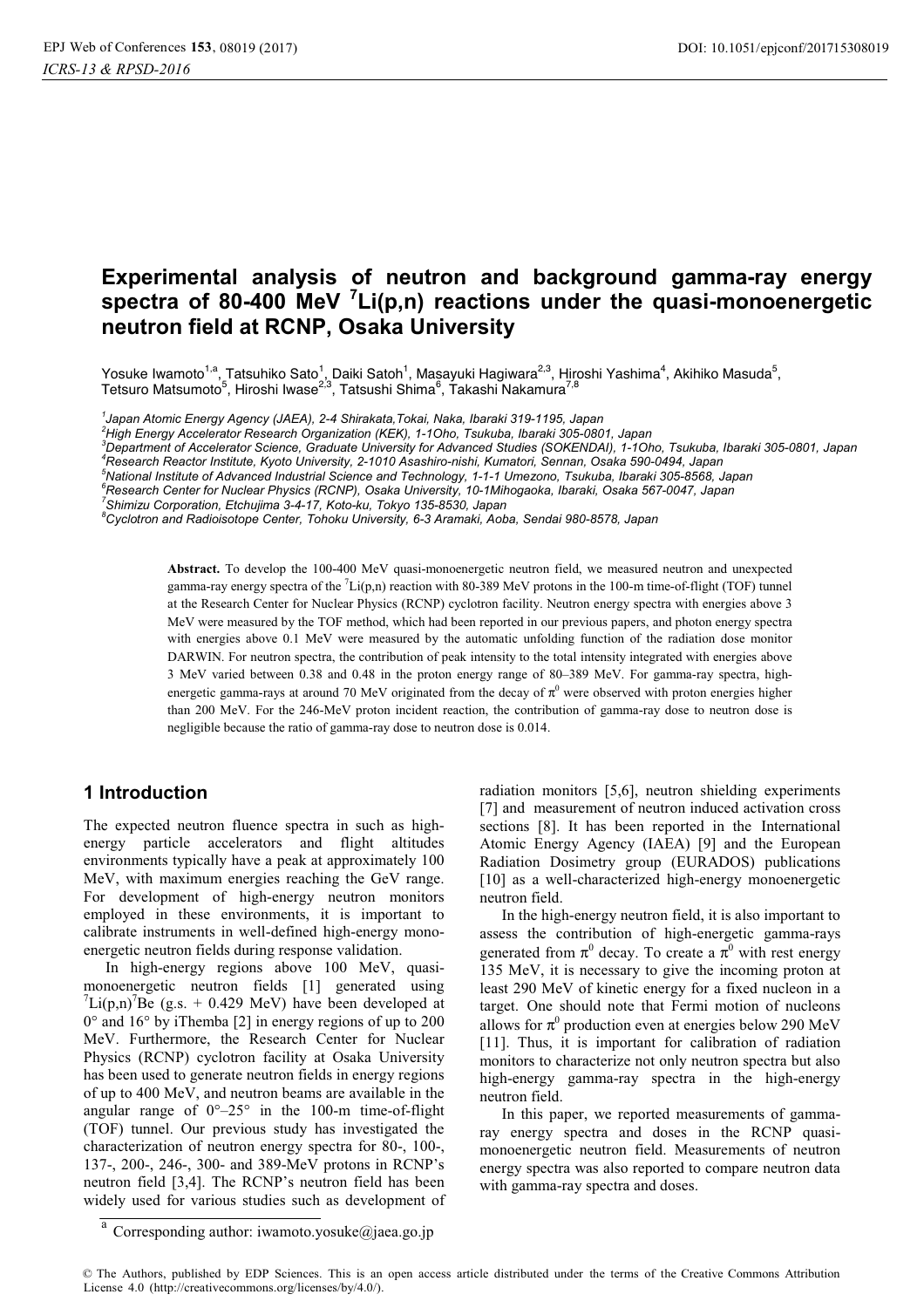# **Experimental analysis of neutron and background gamma-ray energy spectra of 80-400 MeV <sup>7</sup> Li(p,n) reactions under the quasi-monoenergetic neutron field at RCNP, Osaka University**

Yosuke Iwamoto<sup>1,a</sup>, Tatsuhiko Sato<sup>1</sup>, Daiki Satoh<sup>1</sup>, Masayuki Hagiwara<sup>2,3</sup>, Hiroshi Yashima<sup>4</sup>, Akihiko Masuda<sup>5</sup>, Tetsuro Matsumoto<sup>5</sup>, Hiroshi Iwase<sup>2,3</sup>, Tatsushi Shima<sup>6</sup>, Takashi Nakamura<sup>7,8</sup>

*1 Japan Atomic Energy Agency (JAEA), 2-4 Shirakata,Tokai, Naka, Ibaraki 319-1195, Japan* 

*2 High Energy Accelerator Research Organization (KEK), 1-1Oho, Tsukuba, Ibaraki 305-0801, Japan 3*

*Department of Accelerator Science, Graduate University for Advanced Studies (SOKENDAI), 1-1Oho, Tsukuba, Ibaraki 305-0801, Japan 4*

*Research Reactor Institute, Kyoto University, 2-1010 Asashiro-nishi, Kumatori, Sennan, Osaka 590-0494, Japan* 

*5 National Institute of Advanced Industrial Science and Technology, 1-1-1 Umezono, Tsukuba, Ibaraki 305-8568, Japan* 

*6 Research Center for Nuclear Physics (RCNP), Osaka University, 10-1Mihogaoka, Ibaraki, Osaka 567-0047, Japan* 

*7 Shimizu Corporation, Etchujima 3-4-17, Koto-ku, Tokyo 135-8530, Japan* 

*8 Cyclotron and Radioisotope Center, Tohoku University, 6-3 Aramaki, Aoba, Sendai 980-8578, Japan* 

**Abstract.** To develop the 100-400 MeV quasi-monoenergetic neutron field, we measured neutron and unexpected gamma-ray energy spectra of the  ${}^{7}$ Li(p,n) reaction with 80-389 MeV protons in the 100-m time-of-flight (TOF) tunnel at the Research Center for Nuclear Physics (RCNP) cyclotron facility. Neutron energy spectra with energies above 3 MeV were measured by the TOF method, which had been reported in our previous papers, and photon energy spectra with energies above 0.1 MeV were measured by the automatic unfolding function of the radiation dose monitor DARWIN. For neutron spectra, the contribution of peak intensity to the total intensity integrated with energies above 3 MeV varied between 0.38 and 0.48 in the proton energy range of 80–389 MeV. For gamma-ray spectra, highenergetic gamma-rays at around 70 MeV originated from the decay of  $\pi^0$  were observed with proton energies higher than 200 MeV. For the 246-MeV proton incident reaction, the contribution of gamma-ray dose to neutron dose is negligible because the ratio of gamma-ray dose to neutron dose is 0.014.

## **1 Introduction**

The expected neutron fluence spectra in such as highenergy particle accelerators and flight altitudes environments typically have a peak at approximately 100 MeV, with maximum energies reaching the GeV range. For development of high-energy neutron monitors employed in these environments, it is important to calibrate instruments in well-defined high-energy monoenergetic neutron fields during response validation.

In high-energy regions above 100 MeV, quasimonoenergetic neutron fields [1] generated using  $^{7}$ Li(p,n)<sup>7</sup>Be (g.s. + 0.429 MeV) have been developed at 0° and 16° by iThemba [2] in energy regions of up to 200 MeV. Furthermore, the Research Center for Nuclear Physics (RCNP) cyclotron facility at Osaka University has been used to generate neutron fields in energy regions of up to 400 MeV, and neutron beams are available in the angular range of  $0^{\circ}-25^{\circ}$  in the 100-m time-of-flight (TOF) tunnel. Our previous study has investigated the characterization of neutron energy spectra for 80-, 100-, 137-, 200-, 246-, 300- and 389-MeV protons in RCNP's neutron field [3,4]. The RCNP's neutron field has been widely used for various studies such as development of

radiation monitors [5,6], neutron shielding experiments [7] and measurement of neutron induced activation cross sections [8]. It has been reported in the International Atomic Energy Agency (IAEA) [9] and the European Radiation Dosimetry group (EURADOS) publications [10] as a well-characterized high-energy monoenergetic neutron field.

In the high-energy neutron field, it is also important to assess the contribution of high-energetic gamma-rays generated from  $\pi^0$  decay. To create a  $\pi^0$  with rest energy 135 MeV, it is necessary to give the incoming proton at least 290 MeV of kinetic energy for a fixed nucleon in a target. One should note that Fermi motion of nucleons allows for  $\pi^0$  production even at energies below 290 MeV [11]. Thus, it is important for calibration of radiation monitors to characterize not only neutron spectra but also high-energy gamma-ray spectra in the high-energy neutron field.

In this paper, we reported measurements of gammaray energy spectra and doses in the RCNP quasimonoenergetic neutron field. Measurements of neutron energy spectra was also reported to compare neutron data with gamma-ray spectra and doses.

© The Authors, published by EDP Sciences. This is an open access article distributed under the terms of the Creative Commons Attribution License 4.0 (http://creativecommons.org/licenses/by/4.0/).

Corresponding author: iwamoto.yosuke@jaea.go.jp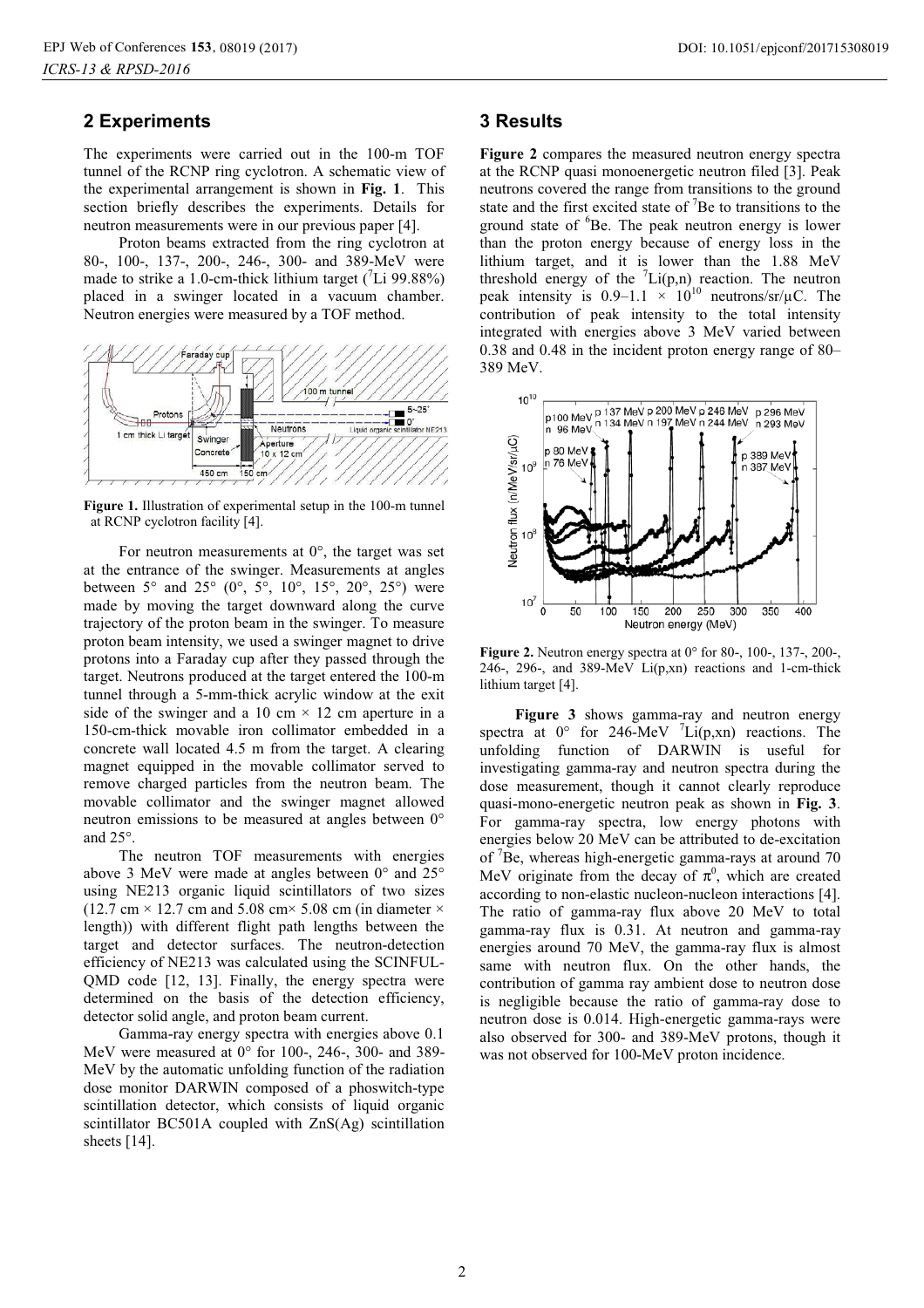## **2 Experiments**

The experiments were carried out in the 100-m TOF tunnel of the RCNP ring cyclotron. A schematic view of the experimental arrangement is shown in **Fig. 1**. This section briefly describes the experiments. Details for neutron measurements were in our previous paper [4].

Proton beams extracted from the ring cyclotron at 80-, 100-, 137-, 200-, 246-, 300- and 389-MeV were made to strike a 1.0-cm-thick lithium target  $(^{7}Li~99.88\%)$ placed in a swinger located in a vacuum chamber. Neutron energies were measured by a TOF method.



**Figure 1.** Illustration of experimental setup in the 100-m tunnel at RCNP cyclotron facility [4].

For neutron measurements at  $0^\circ$ , the target was set at the entrance of the swinger. Measurements at angles between  $5^{\circ}$  and  $25^{\circ}$  (0°,  $5^{\circ}$ , 10°, 15°, 20°, 25°) were made by moving the target downward along the curve trajectory of the proton beam in the swinger. To measure proton beam intensity, we used a swinger magnet to drive protons into a Faraday cup after they passed through the target. Neutrons produced at the target entered the 100-m tunnel through a 5-mm-thick acrylic window at the exit side of the swinger and a 10 cm  $\times$  12 cm aperture in a 150-cm-thick movable iron collimator embedded in a concrete wall located 4.5 m from the target. A clearing magnet equipped in the movable collimator served to remove charged particles from the neutron beam. The movable collimator and the swinger magnet allowed neutron emissions to be measured at angles between 0° and 25°.

The neutron TOF measurements with energies above 3 MeV were made at angles between 0° and 25° using NE213 organic liquid scintillators of two sizes (12.7 cm  $\times$  12.7 cm and 5.08 cm $\times$  5.08 cm (in diameter  $\times$ length)) with different flight path lengths between the target and detector surfaces. The neutron-detection efficiency of NE213 was calculated using the SCINFUL-QMD code [12, 13]. Finally, the energy spectra were determined on the basis of the detection efficiency, detector solid angle, and proton beam current.

Gamma-ray energy spectra with energies above 0.1 MeV were measured at 0° for 100-, 246-, 300- and 389- MeV by the automatic unfolding function of the radiation dose monitor DARWIN composed of a phoswitch-type scintillation detector, which consists of liquid organic scintillator BC501A coupled with ZnS(Ag) scintillation sheets [14].

#### **3 Results**

**Figure 2** compares the measured neutron energy spectra at the RCNP quasi monoenergetic neutron filed [3]. Peak neutrons covered the range from transitions to the ground state and the first excited state of  $\mathrm{^{7}Be}$  to transitions to the ground state of <sup>6</sup>Be. The peak neutron energy is lower than the proton energy because of energy loss in the lithium target, and it is lower than the 1.88 MeV threshold energy of the  $\binom{7}{1}(p,n)$  reaction. The neutron peak intensity is 0.9–1.1  $\times$  10<sup>10</sup> neutrons/sr/ $\mu$ C. The contribution of peak intensity to the total intensity integrated with energies above 3 MeV varied between 0.38 and 0.48 in the incident proton energy range of 80– 389 MeV.



**Figure 2.** Neutron energy spectra at 0° for 80-, 100-, 137-, 200-, 246-, 296-, and 389-MeV Li(p,xn) reactions and 1-cm-thick lithium target [4].

**Figure 3** shows gamma-ray and neutron energy spectra at  $0^{\circ}$  for 246-MeV <sup>7</sup>Li(p,xn) reactions. The unfolding function of DARWIN is useful for investigating gamma-ray and neutron spectra during the dose measurement, though it cannot clearly reproduce quasi-mono-energetic neutron peak as shown in **Fig. 3**. For gamma-ray spectra, low energy photons with energies below 20 MeV can be attributed to de-excitation of <sup>7</sup>Be, whereas high-energetic gamma-rays at around 70 MeV originate from the decay of  $\pi^0$ , which are created according to non-elastic nucleon-nucleon interactions [4]. The ratio of gamma-ray flux above 20 MeV to total gamma-ray flux is 0.31. At neutron and gamma-ray energies around 70 MeV, the gamma-ray flux is almost same with neutron flux. On the other hands, the contribution of gamma ray ambient dose to neutron dose is negligible because the ratio of gamma-ray dose to neutron dose is 0.014. High-energetic gamma-rays were also observed for 300- and 389-MeV protons, though it was not observed for 100-MeV proton incidence.